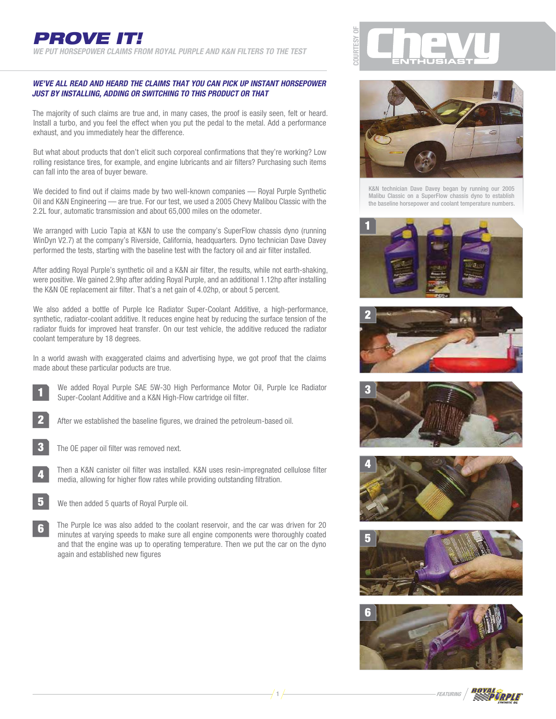## **WE'VE ALL READ AND HEARD THE CLAIMS THAT YOU CAN PICK UP INSTANT HORSEPOWER JUST BY INSTALLING, ADDING OR SWITCHING TO THIS PRODUCT OR THAT**

The majority of such claims are true and, in many cases, the proof is easily seen, felt or heard. Install a turbo, and you feel the effect when you put the pedal to the metal. Add a performance exhaust, and you immediately hear the difference.

But what about products that don't elicit such corporeal confirmations that they're working? Low rolling resistance tires, for example, and engine lubricants and air filters? Purchasing such items can fall into the area of buyer beware.

We decided to find out if claims made by two well-known companies — Royal Purple Synthetic Oil and K&N Engineering — are true. For our test, we used a 2005 Chevy Malibou Classic with the 2.2L four, automatic transmission and about 65,000 miles on the odometer.

We arranged with Lucio Tapia at K&N to use the company's SuperFlow chassis dyno (running WinDyn V2.7) at the company's Riverside, California, headquarters. Dyno technician Dave Davey performed the tests, starting with the baseline test with the factory oil and air filter installed.

After adding Royal Purple's synthetic oil and a K&N air filter, the results, while not earth-shaking, were positive. We gained 2.9hp after adding Royal Purple, and an additional 1.12hp after installing the K&N OE replacement air filter. That's a net gain of 4.02hp, or about 5 percent.

We also added a bottle of Purple Ice Radiator Super-Coolant Additive, a high-performance, synthetic, radiator-coolant additive. It reduces engine heat by reducing the surface tension of the radiator fluids for improved heat transfer. On our test vehicle, the additive reduced the radiator coolant temperature by 18 degrees.

In a world awash with exaggerated claims and advertising hype, we got proof that the claims made about these particular poducts are true.

1

We added Royal Purple SAE 5W-30 High Performance Motor Oil, Purple Ice Radiator Super-Coolant Additive and a K&N High-Flow cartridge oil filter.

2

3

After we established the baseline figures, we drained the petroleum-based oil.

- The OE paper oil filter was removed next.
- Then a K&N canister oil filter was installed. K&N uses resin-impregnated cellulose filter media, allowing for higher flow rates while providing outstanding filtration. 4
- We then added 5 quarts of Royal Purple oil. 5

The Purple Ice was also added to the coolant reservoir, and the car was driven for 20 minutes at varying speeds to make sure all engine components were thoroughly coated and that the engine was up to operating temperature. Then we put the car on the dyno again and established new figures 6





K&N technician Dave Davey began by running our 2005 Malibu Classic on a SuperFlow chassis dyno to establish the baseline horsepower and coolant temperature numbers.